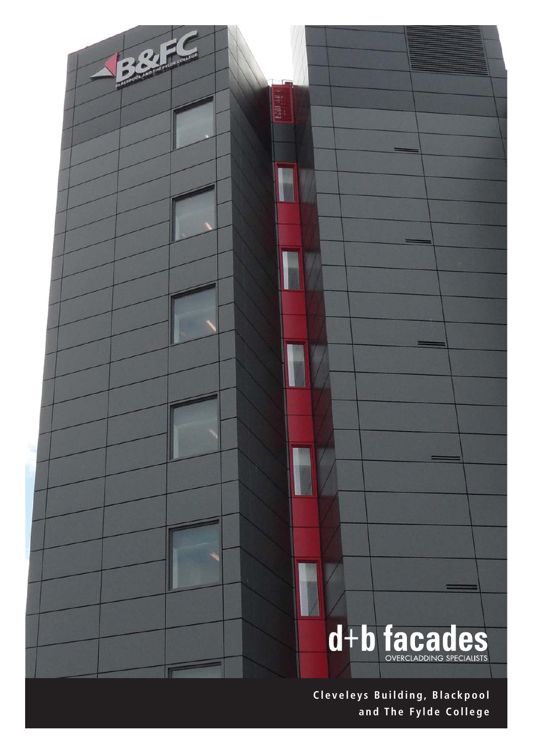

**Cleveleys Building, Blackpool and The Fylde College**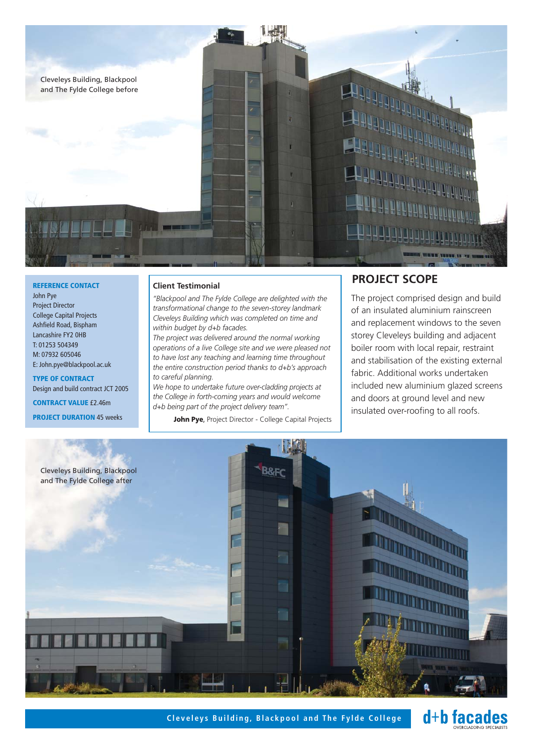

**REFERENCE CONTACT** John Pye Project Director College Capital Projects Ashfield Road, Bispham Lancashire FY2 0HB T: 01253 504349 M: 07932 605046 E: John.pye@blackpool.ac.uk

**TYPE OF CONTRACT** Design and build contract JCT 2005 **CONTRACT VALUE** £2.46m

**PROJECT DURATION** 45 weeks

## **Client Testimonial**

*"Blackpool and The Fylde College are delighted with the transformational change to the seven-storey landmark Cleveleys Building which was completed on time and within budget by d+b facades.*

*The project was delivered around the normal working operations of a live College site and we were pleased not to have lost any teaching and learning time throughout the entire construction period thanks to d+b's approach to careful planning.*

*We hope to undertake future over-cladding projects at the College in forth-coming years and would welcome d+b being part of the project delivery team".*

**John Pye**, Project Director - College Capital Projects

## **PROJECT SCOPE**

The project comprised design and build of an insulated aluminium rainscreen and replacement windows to the seven storey Cleveleys building and adjacent boiler room with local repair, restraint and stabilisation of the existing external fabric. Additional works undertaken included new aluminium glazed screens and doors at ground level and new insulated over-roofing to all roofs.



**Cleveleys Building, Blackpool and The Fylde College** + **d+b facades**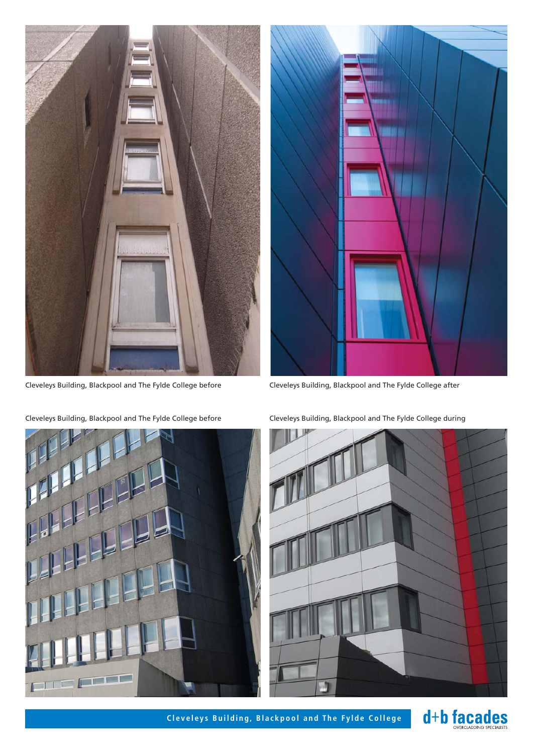



Cleveleys Building, Blackpool and The Fylde College before Cleveleys Building, Blackpool and The Fylde College after



Cleveleys Building, Blackpool and The Fylde College before Cleveleys Building, Blackpool and The Fylde College during

![](_page_2_Picture_6.jpeg)

Cleveleys Building, Blackpool and The Fylde College **+1 1 facades** 

![](_page_2_Picture_8.jpeg)